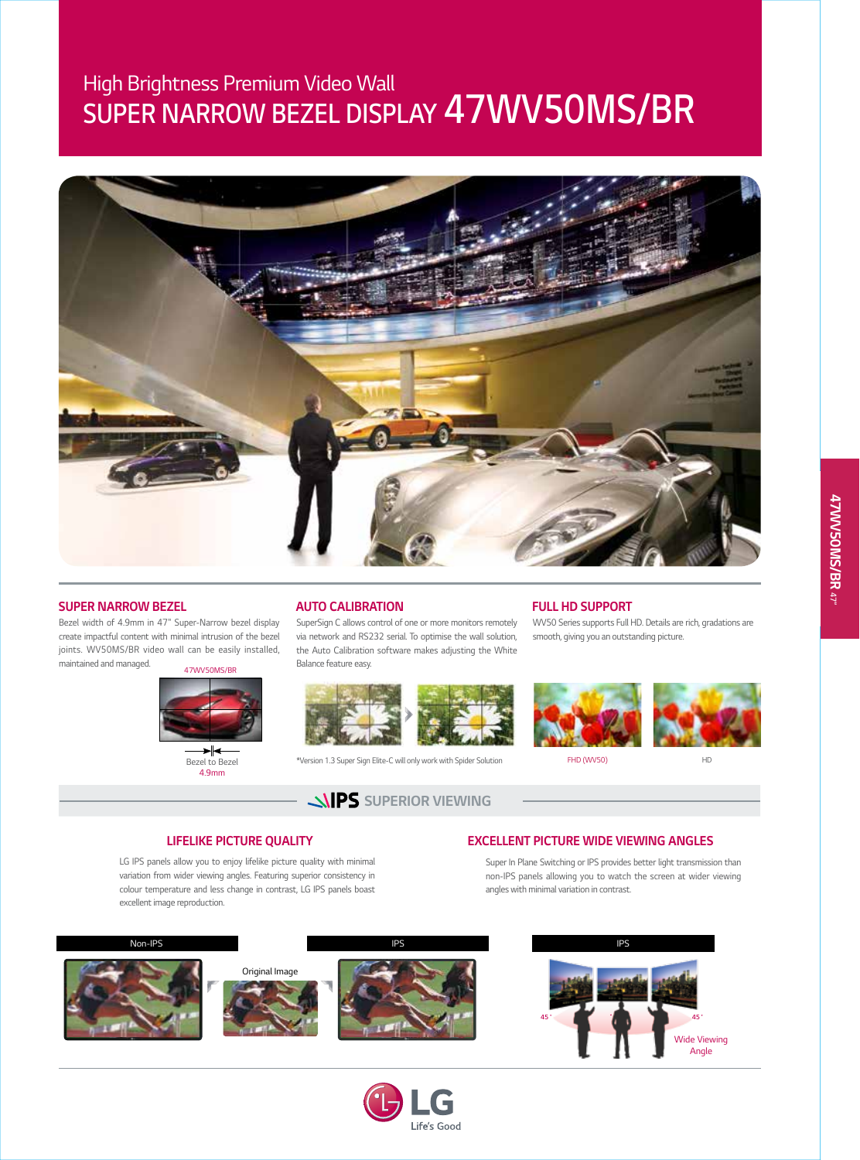# *SUPER NARROW BEZEL DISPLAY 47WV50MS/BR High Brightness Premium Video Wall*



#### *SUPER NARROW BEZEL*

*Bezel width of 4.9mm in 47" Super-Narrow bezel display create impactful content with minimal intrusion of the bezel joints. WV50MS/BR video wall can be easily installed,*  maintained and managed. **47WV50MS/B** 



*Bezel to Bezel 4.9mm*

#### *AUTO CALIBRATION*

*SuperSign C allows control of one or more monitors remotely via network and RS232 serial. To optimise the wall solution, the Auto Calibration software makes adjusting the White Balance feature easy.*



*\*Version 1.3 Super Sign Elite-C will only work with Spider Solution FHD (WV50) HD*

**SUPERIOR VIEWING** 

#### *FULL HD SUPPORT*

*WV50 Series supports Full HD. Details are rich, gradations are smooth, giving you an outstanding picture.*



#### *LIFELIKE PICTURE QUALITY*

LG IPS panels allow you to enjoy lifelike picture quality with minimal *variation from wider viewing angles. Featuring superior consistency in colour temperature and less change in contrast, LG IPS panels boast excellent image reproduction.*

#### *EXCELLENT PICTURE WIDE VIEWING ANGLES*

*Super In Plane Switching or IPS provides better light transmission than non-IPS panels allowing you to watch the screen at wider viewing angles with minimal variation in contrast.*



G Life's Good